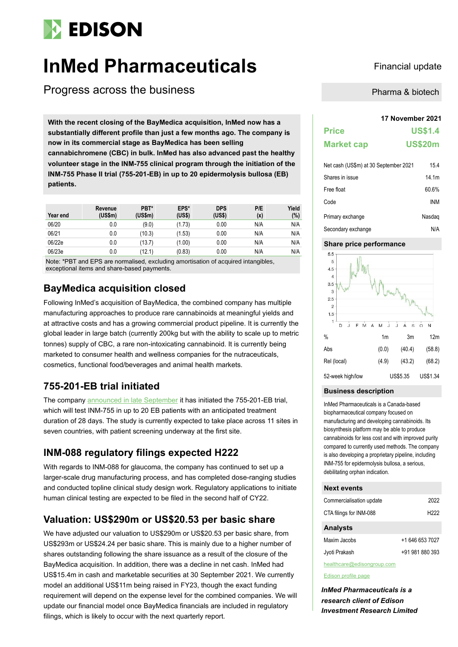# **EDISON**

# **InMed Pharmaceuticals** Financial update

Progress across the business

**17 November 2021 With the recent closing of the BayMedica acquisition, InMed now has a substantially different profile than just a few months ago. The company is now in its commercial stage as BayMedica has been selling cannabichromene (CBC) in bulk. InMed has also advanced past the healthy volunteer stage in the INM-755 clinical program through the initiation of the INM-755 Phase II trial (755-201-EB) in up to 20 epidermolysis bullosa (EB) patients.**

| Year end | Revenue<br>(US\$m) | PBT*<br>(US\$m) | EPS*<br>(US\$) | <b>DPS</b><br>(US\$) | P/E<br>(x) | Yield<br>(%) |
|----------|--------------------|-----------------|----------------|----------------------|------------|--------------|
| 06/20    | 0.0                | (9.0)           | (1.73)         | 0.00                 | N/A        | N/A          |
| 06/21    | 0.0                | (10.3)          | (1.53)         | 0.00                 | N/A        | N/A          |
| 06/22e   | 0.0                | (13.7)          | (1.00)         | 0.00                 | N/A        | N/A          |
| 06/23e   | 0.0                | (12.1)          | (0.83)         | 0.00                 | N/A        | N/A          |

Note: \*PBT and EPS are normalised, excluding amortisation of acquired intangibles, exceptional items and share-based payments.

### **BayMedica acquisition closed**

Following InMed's acquisition of BayMedica, the combined company has multiple manufacturing approaches to produce rare cannabinoids at meaningful yields and at attractive costs and has a growing commercial product pipeline. It is currently the global leader in large batch (currently 200kg but with the ability to scale up to metric tonnes) supply of CBC, a rare non-intoxicating cannabinoid. It is currently being marketed to consumer health and wellness companies for the nutraceuticals, cosmetics, functional food/beverages and animal health markets.

### **755-201-EB trial initiated**

The compan[y announced in late September](https://investors.inmedpharma.com/news-releases/news-release-details/inmed-pharmaceuticals-announces-commencement-phase-2-clinical) it has initiated the 755-201-EB trial, which will test INM-755 in up to 20 EB patients with an anticipated treatment duration of 28 days. The study is currently expected to take place across 11 sites in seven countries, with patient screening underway at the first site.

### **INM-088 regulatory filings expected H222**

With regards to INM-088 for glaucoma, the company has continued to set up a larger-scale drug manufacturing process, and has completed dose-ranging studies and conducted topline clinical study design work. Regulatory applications to initiate human clinical testing are expected to be filed in the second half of CY22.

### **Valuation: US\$290m or US\$20.53 per basic share**

We have adjusted our valuation to US\$290m or US\$20.53 per basic share, from US\$293m or US\$24.24 per basic share. This is mainly due to a higher number of shares outstanding following the share issuance as a result of the closure of the BayMedica acquisition. In addition, there was a decline in net cash. InMed had US\$15.4m in cash and marketable securities at 30 September 2021. We currently model an additional US\$11m being raised in FY23, though the exact funding requirement will depend on the expense level for the combined companies. We will update our financial model once BayMedica financials are included in regulatory filings, which is likely to occur with the next quarterly report.

Pharma & biotech

| <b>Price</b>      | <b>US\$1.4</b> |
|-------------------|----------------|
| <b>Market cap</b> | <b>US\$20m</b> |

| Net cash (US\$m) at 30 September 2021 | 15.4   |
|---------------------------------------|--------|
| Shares in issue                       | 14.1m  |
| Free float                            | 60.6%  |
| Code                                  | INM    |
| Primary exchange                      | Nasdag |
| Secondary exchange                    | N/A    |

### **Share price performance**



### **Business description**

InMed Pharmaceuticals is a Canada-based biopharmaceutical company focused on manufacturing and developing cannabinoids. Its biosynthesis platform may be able to produce cannabinoids for less cost and with improved purity compared to currently used methods. The company is also developing a proprietary pipeline, including INM-755 for epidermolysis bullosa, a serious, debilitating orphan indication.

### **Next events**

| Commercialisation update   | 2022            |
|----------------------------|-----------------|
| CTA filings for INM-088    | H222            |
| <b>Analysts</b>            |                 |
| Maxim Jacobs               | +1 646 653 7027 |
| Jyoti Prakash              | +91 981 880 393 |
| healthcare@edisongroup.com |                 |

#### [Edison profile page](https://www.edisongroup.com/company/inmed-pharmaceuticals/)

*InMed Pharmaceuticals is a research client of Edison Investment Research Limited*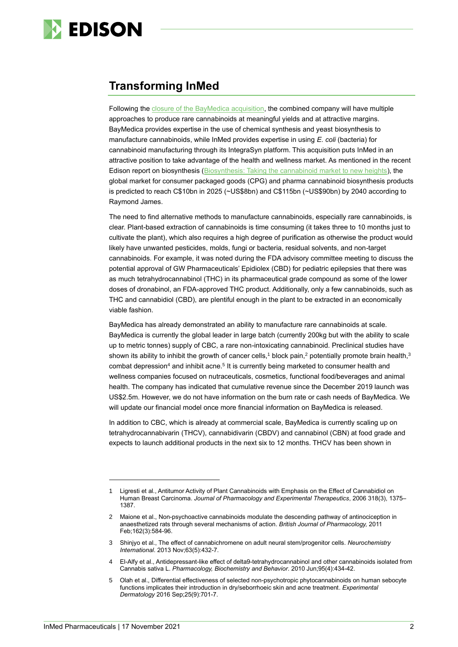

### **Transforming InMed**

Following the [closure of the BayMedica acquisition,](https://investors.inmedpharma.com/news-releases/news-release-details/inmed-pharmaceuticals-completes-acquisition-baymedica-creating) the combined company will have multiple approaches to produce rare cannabinoids at meaningful yields and at attractive margins. BayMedica provides expertise in the use of chemical synthesis and yeast biosynthesis to manufacture cannabinoids, while InMed provides expertise in using *E. coli* (bacteria) for cannabinoid manufacturing through its IntegraSyn platform. This acquisition puts InMed in an attractive position to take advantage of the health and wellness market. As mentioned in the recent Edison report on biosynthesis (Biosynthesis: [Taking the cannabinoid market to new heights\)](https://www.edisongroup.com/investment-themes/biosynthesis-taking-the-cannabinoid-market-to-new-heights/), the global market for consumer packaged goods (CPG) and pharma cannabinoid biosynthesis products is predicted to reach C\$10bn in 2025 (~US\$8bn) and C\$115bn (~US\$90bn) by 2040 according to Raymond James.

The need to find alternative methods to manufacture cannabinoids, especially rare cannabinoids, is clear. Plant-based extraction of cannabinoids is time consuming (it takes three to 10 months just to cultivate the plant), which also requires a high degree of purification as otherwise the product would likely have unwanted pesticides, molds, fungi or bacteria, residual solvents, and non-target cannabinoids. For example, it was noted during the FDA advisory committee meeting to discuss the potential approval of GW Pharmaceuticals' Epidiolex (CBD) for pediatric epilepsies that there was as much tetrahydrocannabinol (THC) in its pharmaceutical grade compound as some of the lower doses of dronabinol, an FDA-approved THC product. Additionally, only a few cannabinoids, such as THC and cannabidiol (CBD), are plentiful enough in the plant to be extracted in an economically viable fashion.

BayMedica has already demonstrated an ability to manufacture rare cannabinoids at scale. BayMedica is currently the global leader in large batch (currently 200kg but with the ability to scale up to metric tonnes) supply of CBC, a rare non-intoxicating cannabinoid. Preclinical studies have shown its ability to inhibit the growth of cancer cells,<sup>1</sup> block pain,<sup>2</sup> potentially promote brain health,<sup>3</sup> combat depression<sup>4</sup> and inhibit acne.<sup>5</sup> It is currently being marketed to consumer health and wellness companies focused on nutraceuticals, cosmetics, functional food/beverages and animal health. The company has indicated that cumulative revenue since the December 2019 launch was US\$2.5m. However, we do not have information on the burn rate or cash needs of BayMedica. We will update our financial model once more financial information on BayMedica is released.

In addition to CBC, which is already at commercial scale, BayMedica is currently scaling up on tetrahydrocannabivarin (THCV), cannabidivarin (CBDV) and cannabinol (CBN) at food grade and expects to launch additional products in the next six to 12 months. THCV has been shown in

<sup>1</sup> Ligresti et al., Antitumor Activity of Plant Cannabinoids with Emphasis on the Effect of Cannabidiol on Human Breast Carcinoma. *Journal of Pharmacology and Experimental Therapeutics*, 2006 318(3), 1375– 1387.

<sup>2</sup> Maione et al., Non-psychoactive cannabinoids modulate the descending pathway of antinociception in anaesthetized rats through several mechanisms of action. *British Journal of Pharmacology,* 2011 Feb;162(3):584-96.

<sup>3</sup> Shinjyo et al., The effect of cannabichromene on adult neural stem/progenitor cells. *Neurochemistry International*. 2013 Nov;63(5):432-7.

<sup>4</sup> El-Alfy et al., Antidepressant-like effect of delta9-tetrahydrocannabinol and other cannabinoids isolated from Cannabis sativa L. *Pharmacology, Biochemistry and Behavior*. 2010 Jun;95(4):434-42.

<sup>5</sup> Olah et al., Differential effectiveness of selected non-psychotropic phytocannabinoids on human sebocyte functions implicates their introduction in dry/seborrhoeic skin and acne treatment. *Experimental Dermatology* 2016 Sep;25(9):701-7.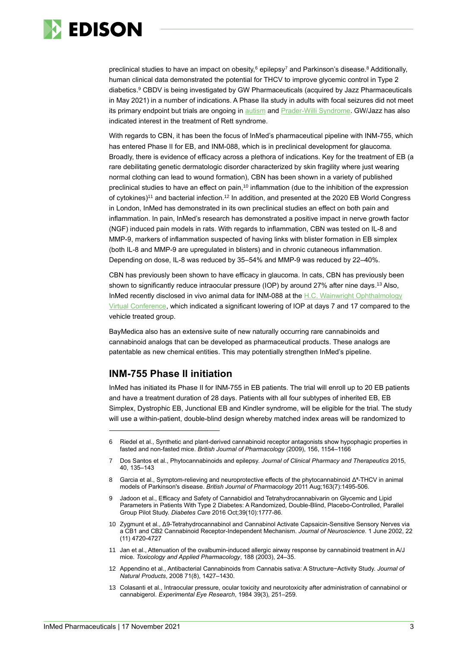

preclinical studies to have an impact on obesity,<sup>6</sup> epilepsy<sup>7</sup> and Parkinson's disease.<sup>8</sup> Additionally, human clinical data demonstrated the potential for THCV to improve glycemic control in Type 2 diabetics. <sup>9</sup> CBDV is being investigated by GW Pharmaceuticals (acquired by Jazz Pharmaceuticals in May 2021) in a number of indications. A Phase IIa study in adults with focal seizures did not meet its primary endpoint but trials are ongoing in [autism](https://www.clinicaltrials.gov/ct2/show/NCT03202303) and [Prader-Willi Syndrome.](https://www.clinicaltrials.gov/ct2/show/NCT03848481) GW/Jazz has also indicated interest in the treatment of Rett syndrome.

With regards to CBN, it has been the focus of InMed's pharmaceutical pipeline with INM-755, which has entered Phase II for EB, and INM-088, which is in preclinical development for glaucoma. Broadly, there is evidence of efficacy across a plethora of indications. Key for the treatment of EB (a rare debilitating genetic dermatologic disorder characterized by skin fragility where just wearing normal clothing can lead to wound formation), CBN has been shown in a variety of published preclinical studies to have an effect on pain,<sup>10</sup> inflammation (due to the inhibition of the expression of cytokines)<sup>11</sup> and bacterial infection.<sup>12</sup> In addition, and presented at the 2020 EB World Congress in London, InMed has demonstrated in its own preclinical studies an effect on both pain and inflammation. In pain, InMed's research has demonstrated a positive impact in nerve growth factor (NGF) induced pain models in rats. With regards to inflammation, CBN was tested on IL-8 and MMP-9, markers of inflammation suspected of having links with blister formation in EB simplex (both IL-8 and MMP-9 are upregulated in blisters) and in chronic cutaneous inflammation. Depending on dose, IL-8 was reduced by 35–54% and MMP-9 was reduced by 22–40%.

CBN has previously been shown to have efficacy in glaucoma. In cats, CBN has previously been shown to significantly reduce intraocular pressure (IOP) by around 27% after nine days.<sup>13</sup> Also, InMed recently disclosed in vivo animal data for INM-088 at the H.C. Wainwright Ophthalmology [Virtual Conference,](https://journey.ct.events/view/8bb508fa-05c0-42dd-87aa-e856330568ab) which indicated a significant lowering of IOP at days 7 and 17 compared to the vehicle treated group.

BayMedica also has an extensive suite of new naturally occurring rare cannabinoids and cannabinoid analogs that can be developed as pharmaceutical products. These analogs are patentable as new chemical entities. This may potentially strengthen InMed's pipeline.

### **INM-755 Phase II initiation**

InMed has initiated its Phase II for INM-755 in EB patients. The trial will enroll up to 20 EB patients and have a treatment duration of 28 days. Patients with all four subtypes of inherited EB, EB Simplex, Dystrophic EB, Junctional EB and Kindler syndrome, will be eligible for the trial. The study will use a within-patient, double-blind design whereby matched index areas will be randomized to

- 8 Garcia et al., Symptom-relieving and neuroprotective effects of the phytocannabinoid Δ⁹-THCV in animal models of Parkinson's disease. *British Journal of Pharmacology* 2011 Aug;163(7):1495-506.
- 9 Jadoon et al., Efficacy and Safety of Cannabidiol and Tetrahydrocannabivarin on Glycemic and Lipid Parameters in Patients With Type 2 Diabetes: A Randomized, Double-Blind, Placebo-Controlled, Parallel Group Pilot Study. *Diabetes Care* 2016 Oct;39(10):1777-86.
- 10 Zygmunt et al., Δ9-Tetrahydrocannabinol and Cannabinol Activate Capsaicin-Sensitive Sensory Nerves via a CB1 and CB2 Cannabinoid Receptor-Independent Mechanism. *Journal of Neuroscience*. 1 June 2002, 22 (11) 4720-4727
- 11 Jan et al., Attenuation of the ovalbumin-induced allergic airway response by cannabinoid treatment in A/J mice. *Toxicology and Applied Pharmacology*, 188 (2003), 24–35.
- 12 Appendino et al., Antibacterial Cannabinoids from Cannabis sativa: A Structure−Activity Study. *Journal of Natural Products*, 2008 71(8), 1427–1430.
- 13 Colasanti et al., Intraocular pressure, ocular toxicity and neurotoxicity after administration of cannabinol or cannabigerol. *Experimental Eye Research*, 1984 39(3), 251–259.

<sup>6</sup> Riedel et al., Synthetic and plant-derived cannabinoid receptor antagonists show hypophagic properties in fasted and non-fasted mice. *British Journal of Pharmacology* (2009), 156, 1154–1166

<sup>7</sup> Dos Santos et al., Phytocannabinoids and epilepsy. *Journal of Clinical Pharmacy and Therapeutics* 2015, 40, 135–143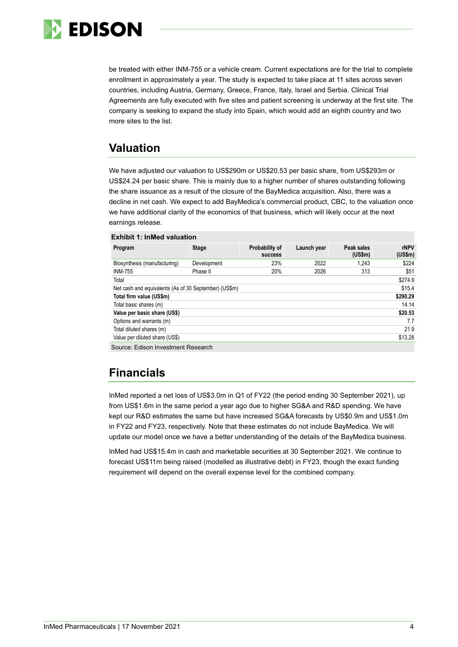

be treated with either INM-755 or a vehicle cream. Current expectations are for the trial to complete enrollment in approximately a year. The study is expected to take place at 11 sites across seven countries, including Austria, Germany, Greece, France, Italy, Israel and Serbia. Clinical Trial Agreements are fully executed with five sites and patient screening is underway at the first site. The company is seeking to expand the study into Spain, which would add an eighth country and two more sites to the list.

## **Valuation**

We have adjusted our valuation to US\$290m or US\$20.53 per basic share, from US\$293m or US\$24.24 per basic share. This is mainly due to a higher number of shares outstanding following the share issuance as a result of the closure of the BayMedica acquisition. Also, there was a decline in net cash. We expect to add BayMedica's commercial product, CBC, to the valuation once we have additional clarity of the economics of that business, which will likely occur at the next earnings release.

|  | <b>Exhibit 1: InMed valuation</b> |  |
|--|-----------------------------------|--|
|  |                                   |  |

| Program                                                         | <b>Stage</b> | Probability of<br><b>SUCCESS</b> | Launch year | Peak sales<br>(US\$m) | rNPV<br>(US\$m) |
|-----------------------------------------------------------------|--------------|----------------------------------|-------------|-----------------------|-----------------|
| Biosynthesis (manufacturing)                                    | Development  | 23%                              | 2022        | 1.243                 | \$224           |
| <b>INM-755</b>                                                  | Phase II     | 20%                              | 2026        | 313                   | \$51            |
| Total                                                           |              |                                  |             |                       | \$274.9         |
| \$15.4<br>Net cash and equivalents (As of 30 September) (US\$m) |              |                                  |             |                       |                 |
| Total firm value (US\$m)                                        |              |                                  |             | \$290.29              |                 |
| Total basic shares (m)                                          |              |                                  |             | 14.14                 |                 |
| Value per basic share (US\$)                                    |              |                                  |             | \$20.53               |                 |
| Options and warrants (m)                                        |              |                                  |             |                       | 7.7             |
| Total diluted shares (m)                                        |              |                                  |             | 21.9                  |                 |
| Value per diluted share (US\$)                                  |              |                                  |             | \$13.28               |                 |
| Source: Edison Investment Research                              |              |                                  |             |                       |                 |

## **Financials**

InMed reported a net loss of US\$3.0m in Q1 of FY22 (the period ending 30 September 2021), up from US\$1.6m in the same period a year ago due to higher SG&A and R&D spending. We have kept our R&D estimates the same but have increased SG&A forecasts by US\$0.9m and US\$1.0m in FY22 and FY23, respectively. Note that these estimates do not include BayMedica. We will update our model once we have a better understanding of the details of the BayMedica business.

InMed had US\$15.4m in cash and marketable securities at 30 September 2021. We continue to forecast US\$11m being raised (modelled as illustrative debt) in FY23, though the exact funding requirement will depend on the overall expense level for the combined company.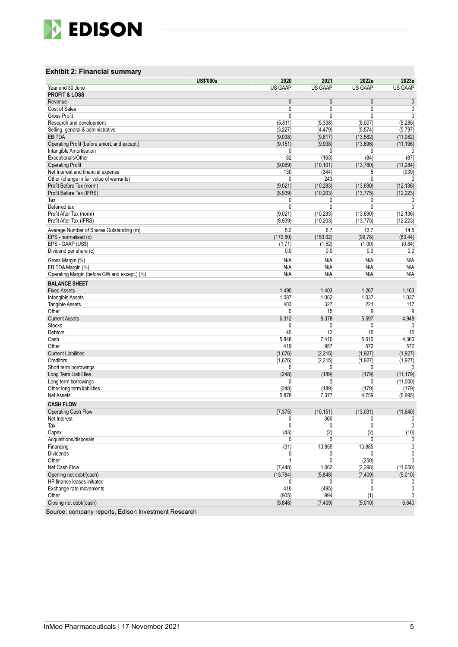

### **Exhibit 2: Financial summary**

|                                                    | <b>US\$'000s</b> | 2020                | 2021                 | 2022e                       | 2023e               |
|----------------------------------------------------|------------------|---------------------|----------------------|-----------------------------|---------------------|
| Year end 30 June                                   |                  | <b>US GAAP</b>      | <b>US GAAP</b>       | <b>US GAAP</b>              | <b>US GAAP</b>      |
| <b>PROFIT &amp; LOSS</b>                           |                  |                     |                      |                             |                     |
| Revenue                                            |                  | $\mathbf{0}$        | $\mathbf{0}$         | $\mathbf{0}$                | $\pmb{0}$           |
| Cost of Sales<br><b>Gross Profit</b>               |                  | 0<br>0              | 0<br>0               | $\mathbf 0$<br>$\mathbf{0}$ | 0<br>0              |
| Research and development                           |                  | (5, 811)            | (5, 338)             | (8,007)                     | (5, 285)            |
|                                                    |                  |                     |                      |                             |                     |
| Selling, general & administrative<br><b>EBITDA</b> |                  | (3, 227)<br>(9,038) | (4, 479)<br>(9, 817) | (5, 574)<br>(13, 582)       | (5,797)<br>(11,082) |
| Operating Profit (before amort. and except.)       |                  | (9, 151)            | (9,938)              | (13,696)                    | (11, 196)           |
| Intangible Amortisation                            |                  | 0                   | 0                    | 0                           | 0                   |
| Exceptionals/Other                                 |                  | 82                  | (163)                | (84)                        | (87)                |
| <b>Operating Profit</b>                            |                  | (9,069)             | (10, 101)            | (13, 780)                   | (11, 284)           |
| Net Interest and financial expense                 |                  | 130                 | (344)                | 5                           | (939)               |
| Other (change in fair value of warrants)           |                  | 0                   | 243                  | $\Omega$                    | 0                   |
| Profit Before Tax (norm)                           |                  | (9,021)             | (10, 283)            | (13,690)                    | (12, 136)           |
| Profit Before Tax (IFRS)                           |                  | (8,939)             | (10, 203)            | (13, 775)                   | (12, 223)           |
| Tax                                                |                  | 0                   | 0                    | 0                           | 0                   |
| Deferred tax                                       |                  | 0                   | 0                    | $\mathbf{0}$                | 0                   |
| Profit After Tax (norm)                            |                  | (9,021)             | (10, 283)            | (13,690)                    | (12, 136)           |
| Profit After Tax (IFRS)                            |                  | (8,939)             | (10, 203)            | (13, 775)                   | (12, 223)           |
| Average Number of Shares Outstanding (m)           |                  | 5.2                 | 6.7                  | 13.7                        | 14.5                |
| EPS - normalised (c)                               |                  | (172.80)            | (153.02)             | (99.78)                     | (83.44)             |
| EPS - GAAP (US\$)                                  |                  | (1.71)              | (1.52)               | (1.00)                      | (0.84)              |
| Dividend per share (c)                             |                  | 0.0                 | 0.0                  | 0.0                         | 0.0                 |
| Gross Margin (%)                                   |                  | N/A                 | N/A                  | N/A                         | N/A                 |
| EBITDA Margin (%)                                  |                  | N/A                 | N/A                  | N/A                         | N/A                 |
| Operating Margin (before GW and except.) (%)       |                  | N/A                 | N/A                  | N/A                         | N/A                 |
|                                                    |                  |                     |                      |                             |                     |
| <b>BALANCE SHEET</b>                               |                  |                     |                      |                             |                     |
| <b>Fixed Assets</b>                                |                  | 1,490               | 1,403                | 1,267                       | 1,163               |
| Intangible Assets                                  |                  | 1,087               | 1,062<br>327         | 1,037<br>221                | 1,037               |
| Tangible Assets<br>Other                           |                  | 403<br>0            | 15                   | 9                           | 117<br>9            |
| <b>Current Assets</b>                              |                  | 6,312               | 8,378                | 5,597                       | 4,948               |
| <b>Stocks</b>                                      |                  | 0                   | 0                    | 0                           | 0                   |
| Debtors                                            |                  | 45                  | 12                   | 15                          | 15                  |
| Cash                                               |                  | 5,848               | 7,410                | 5,010                       | 4,360               |
| Other                                              |                  | 419                 | 957                  | 572                         | 572                 |
| <b>Current Liabilities</b>                         |                  | (1,676)             | (2, 215)             | (1, 927)                    | (1, 927)            |
| Creditors                                          |                  | (1,676)             | (2, 215)             | (1, 927)                    | (1, 927)            |
| Short term borrowings                              |                  | 0                   | 0                    | 0                           | 0                   |
| Long Term Liabilities                              |                  | (248)               | (189)                | (179)                       | (11, 179)           |
| Long term borrowings                               |                  | 0                   | 0                    | 0                           | (11,000)            |
| Other long term liabilities                        |                  | (248)               | (189)                | (179)                       | (179)               |
| <b>Net Assets</b>                                  |                  | 5,878               | 7,377                | 4,759                       | (6,995)             |
| <b>CASH FLOW</b>                                   |                  |                     |                      |                             |                     |
| Operating Cash Flow                                |                  | (7, 375)            | (10, 151)            | (13,031)                    | (11, 640)           |
| Net Interest                                       |                  | 0                   | 360                  | 0                           | 0                   |
| Tax                                                |                  | 0                   | $\pmb{0}$            | $\pmb{0}$                   | 0                   |
| Capex                                              |                  | (43)                | (2)                  | (2)                         | (10)                |
| Acquisitions/disposals                             |                  | 0                   | 0                    | 0                           | 0                   |
| Financing                                          |                  | (31)                | 10,855               | 10.885                      | 0                   |
| <b>Dividends</b>                                   |                  | 0                   | 0                    | 0                           | 0                   |
| Other                                              |                  | 1                   | $\mathbf{0}$         | (250)                       | 0                   |
| Net Cash Flow                                      |                  | (7, 448)            | 1,062                | (2, 398)                    | (11, 650)           |
| Opening net debt/(cash)                            |                  | (13, 784)           | (5,848)              | (7, 409)                    | (5,010)             |
| HP finance leases initiated                        |                  | 0                   | $\mathbf{0}$         | $\mathbf{0}$                | 0                   |
| Exchange rate movements                            |                  | 416                 | (495)                | 0                           | 0                   |
| Other                                              |                  | (905)               | 994                  | (1)                         | $\mathbf{0}$        |
| Closing net debt/(cash)                            |                  | (5,848)             | (7, 409)             | (5,010)                     | 6,640               |
| Edinon Invootment Pensons                          |                  |                     |                      |                             |                     |

Source: company reports, Edison Investment Research